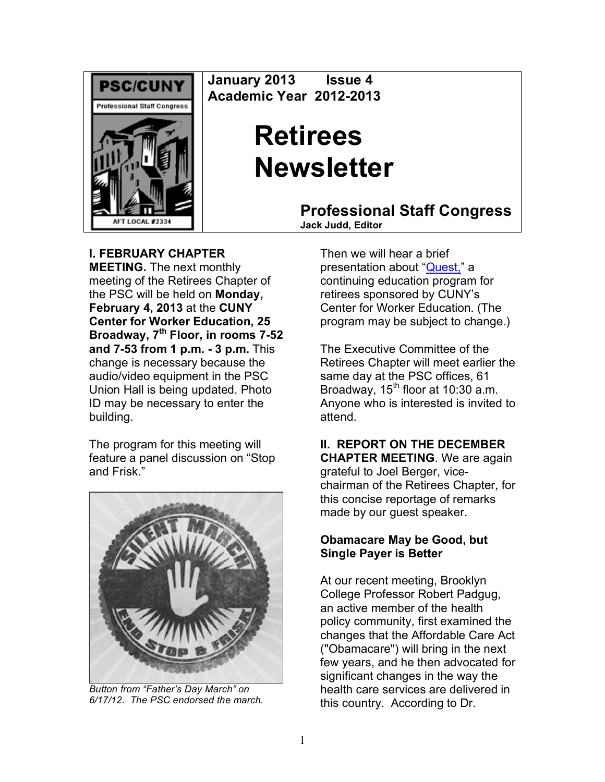

**January 2013 Issue 4 Academic Year 2012-2013**

# **Retirees Newsletter**

**Professional Staff Congress Jack Judd, Editor**

**I. FEBRUARY CHAPTER MEETING.** The next monthly meeting of the Retirees Chapter of the PSC will be held on **Monday, February 4, 2013** at the **CUNY Center for Worker Education, 25 Broadway, 7th Floor, in rooms 7-52** 

**and 7-53 from 1 p.m. - 3 p.m.** This change is necessary because the audio/video equipment in the PSC Union Hall is being updated. Photo ID may be necessary to enter the building.

The program for this meeting will feature a panel discussion on "Stop and Frisk."



*Button from "Father's Day March" on 6/17/12. The PSC endorsed the march.*

Then we will hear a brief presentation about "Quest," a continuing education program for retirees sponsored by CUNY's Center for Worker Education. (The program may be subject to change.)

The Executive Committee of the Retirees Chapter will meet earlier the same day at the PSC offices, 61 Broadway,  $15<sup>th</sup>$  floor at 10:30 a.m. Anyone who is interested is invited to attend.

## **II. REPORT ON THE DECEMBER**

**CHAPTER MEETING**. We are again grateful to Joel Berger, vicechairman of the Retirees Chapter, for this concise reportage of remarks made by our guest speaker.

#### **Obamacare May be Good, but Single Payer is Better**

At our recent meeting, Brooklyn College Professor Robert Padgug, an active member of the health policy community, first examined the changes that the Affordable Care Act ("Obamacare") will bring in the next few years, and he then advocated for significant changes in the way the health care services are delivered in this country. According to Dr.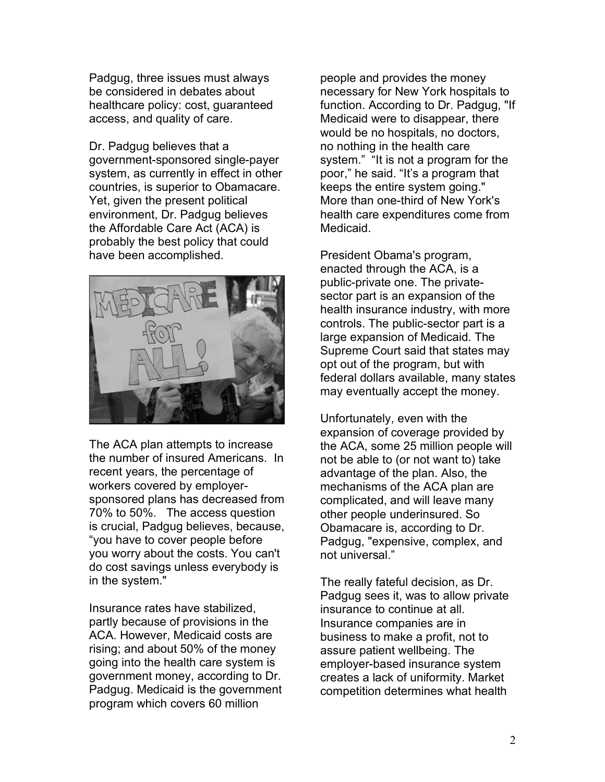Padgug, three issues must always be considered in debates about healthcare policy: cost, guaranteed access, and quality of care.

Dr. Padgug believes that a government-sponsored single-payer system, as currently in effect in other countries, is superior to Obamacare. Yet, given the present political environment, Dr. Padgug believes the Affordable Care Act (ACA) is probably the best policy that could have been accomplished.



The ACA plan attempts to increase the number of insured Americans. In recent years, the percentage of workers covered by employersponsored plans has decreased from 70% to 50%. The access question is crucial, Padgug believes, because, "you have to cover people before you worry about the costs. You can't do cost savings unless everybody is in the system."

Insurance rates have stabilized, partly because of provisions in the ACA. However, Medicaid costs are rising; and about 50% of the money going into the health care system is government money, according to Dr. Padgug. Medicaid is the government program which covers 60 million

people and provides the money necessary for New York hospitals to function. According to Dr. Padgug, "If Medicaid were to disappear, there would be no hospitals, no doctors, no nothing in the health care system." "It is not a program for the poor," he said. "It's a program that keeps the entire system going." More than one-third of New York's health care expenditures come from Medicaid.

President Obama's program, enacted through the ACA, is a public-private one. The privatesector part is an expansion of the health insurance industry, with more controls. The public-sector part is a large expansion of Medicaid. The Supreme Court said that states may opt out of the program, but with federal dollars available, many states may eventually accept the money.

Unfortunately, even with the expansion of coverage provided by the ACA, some 25 million people will not be able to (or not want to) take advantage of the plan. Also, the mechanisms of the ACA plan are complicated, and will leave many other people underinsured. So Obamacare is, according to Dr. Padgug, "expensive, complex, and not universal."

The really fateful decision, as Dr. Padgug sees it, was to allow private insurance to continue at all. Insurance companies are in business to make a profit, not to assure patient wellbeing. The employer-based insurance system creates a lack of uniformity. Market competition determines what health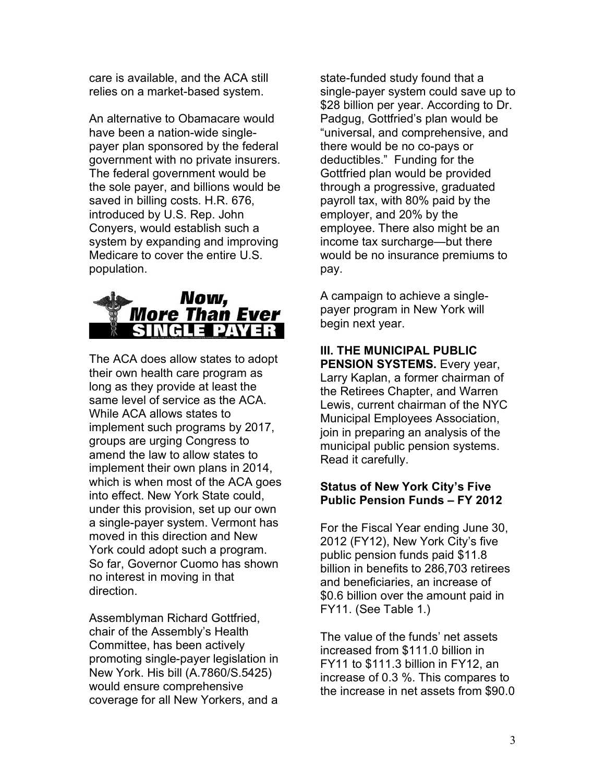care is available, and the ACA still relies on a market-based system.

An alternative to Obamacare would have been a nation-wide singlepayer plan sponsored by the federal government with no private insurers. The federal government would be the sole payer, and billions would be saved in billing costs. H.R. 676, introduced by U.S. Rep. John Conyers, would establish such a system by expanding and improving Medicare to cover the entire U.S. population.



The ACA does allow states to adopt their own health care program as long as they provide at least the same level of service as the ACA. While ACA allows states to implement such programs by 2017, groups are urging Congress to amend the law to allow states to implement their own plans in 2014, which is when most of the ACA goes into effect. New York State could, under this provision, set up our own a single-payer system. Vermont has moved in this direction and New York could adopt such a program. So far, Governor Cuomo has shown no interest in moving in that direction.

Assemblyman Richard Gottfried, chair of the Assembly's Health Committee, has been actively promoting single-payer legislation in New York. His bill (A.7860/S.5425) would ensure comprehensive coverage for all New Yorkers, and a

state-funded study found that a single-payer system could save up to \$28 billion per year. According to Dr. Padgug, Gottfried's plan would be "universal, and comprehensive, and there would be no co-pays or deductibles." Funding for the Gottfried plan would be provided through a progressive, graduated payroll tax, with 80% paid by the employer, and 20% by the employee. There also might be an income tax surcharge—but there would be no insurance premiums to pay.

A campaign to achieve a singlepayer program in New York will begin next year.

#### **III. THE MUNICIPAL PUBLIC PENSION SYSTEMS.** Every year, Larry Kaplan, a former chairman of the Retirees Chapter, and Warren Lewis, current chairman of the NYC Municipal Employees Association, join in preparing an analysis of the municipal public pension systems. Read it carefully.

#### **Status of New York City's Five Public Pension Funds – FY 2012**

For the Fiscal Year ending June 30, 2012 (FY12), New York City's five public pension funds paid \$11.8 billion in benefits to 286,703 retirees and beneficiaries, an increase of \$0.6 billion over the amount paid in FY11. (See Table 1.)

The value of the funds' net assets increased from \$111.0 billion in FY11 to \$111.3 billion in FY12, an increase of 0.3 %. This compares to the increase in net assets from \$90.0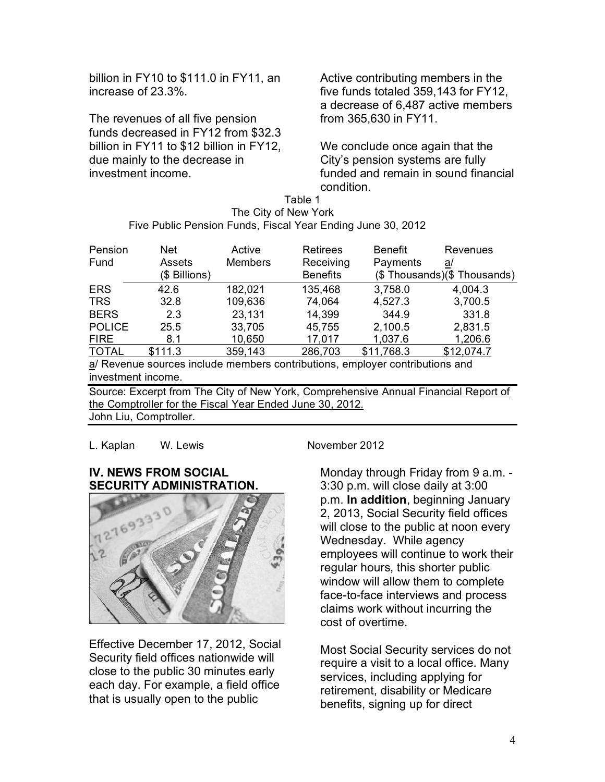billion in FY10 to \$111.0 in FY11, an increase of 23.3%.

The revenues of all five pension funds decreased in FY12 from \$32.3 billion in FY11 to \$12 billion in FY12, due mainly to the decrease in investment income.

Active contributing members in the five funds totaled 359,143 for FY12, a decrease of 6,487 active members from 365,630 in FY11.

We conclude once again that the City's pension systems are fully funded and remain in sound financial condition.

Table 1 The City of New York Five Public Pension Funds, Fiscal Year Ending June 30, 2012

| Pension       | Net           | Active         | <b>Retirees</b> | <b>Benefit</b> | Revenues                   |
|---------------|---------------|----------------|-----------------|----------------|----------------------------|
| Fund          | Assets        | <b>Members</b> | Receiving       | Payments       | a/                         |
|               | (\$ Billions) |                | <b>Benefits</b> |                | (\$Thousands)(\$Thousands) |
| <b>ERS</b>    | 42.6          | 182,021        | 135,468         | 3,758.0        | 4,004.3                    |
| <b>TRS</b>    | 32.8          | 109,636        | 74,064          | 4,527.3        | 3,700.5                    |
| <b>BERS</b>   | 2.3           | 23,131         | 14,399          | 344.9          | 331.8                      |
| <b>POLICE</b> | 25.5          | 33,705         | 45,755          | 2,100.5        | 2,831.5                    |
| <b>FIRE</b>   | 8.1           | 10,650         | 17,017          | 1,037.6        | 1,206.6                    |
| <b>TOTAL</b>  | \$111.3       | 359,143        | 286,703         | \$11,768.3     | \$12,074.7                 |
|               |               |                |                 |                |                            |

a/ Revenue sources include members contributions, employer contributions and investment income.

Source: Excerpt from The City of New York, Comprehensive Annual Financial Report of the Comptroller for the Fiscal Year Ended June 30, 2012. John Liu, Comptroller.

L. Kaplan W. Lewis November 2012

#### **IV. NEWS FROM SOCIAL SECURITY ADMINISTRATION.**



Effective December 17, 2012, Social Security field offices nationwide will close to the public 30 minutes early each day. For example, a field office that is usually open to the public

Monday through Friday from 9 a.m. - 3:30 p.m. will close daily at 3:00 p.m. **In addition**, beginning January 2, 2013, Social Security field offices will close to the public at noon every Wednesday. While agency employees will continue to work their regular hours, this shorter public window will allow them to complete face-to-face interviews and process claims work without incurring the cost of overtime.

Most Social Security services do not require a visit to a local office. Many services, including applying for retirement, disability or Medicare benefits, signing up for direct